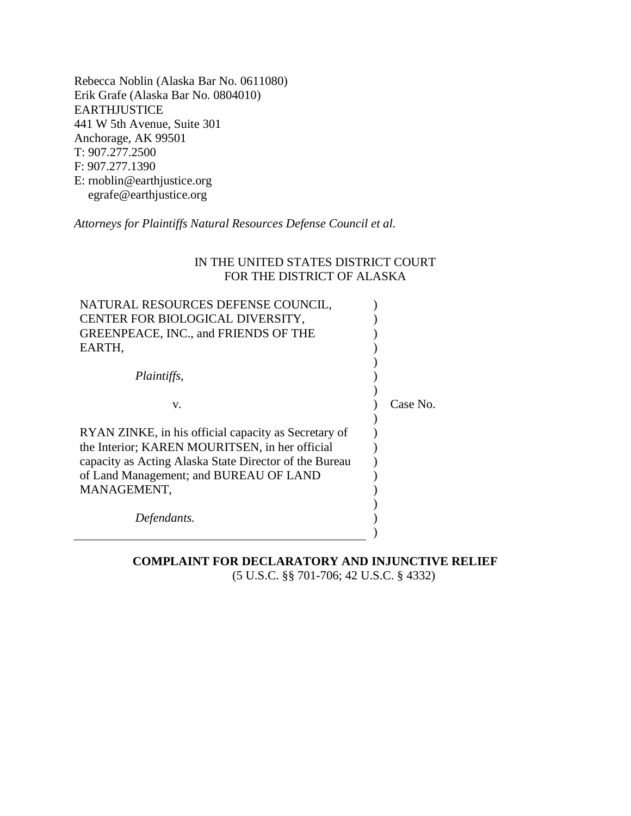Rebecca Noblin (Alaska Bar No. 0611080) Erik Grafe (Alaska Bar No. 0804010) EARTHJUSTICE 441 W 5th Avenue, Suite 301 Anchorage, AK 99501 T: 907.277.2500 F: 907.277.1390 E: rnoblin@earthjustice.org egrafe@earthjustice.org

*Attorneys for Plaintiffs Natural Resources Defense Council et al.*

# IN THE UNITED STATES DISTRICT COURT FOR THE DISTRICT OF ALASKA

| NATURAL RESOURCES DEFENSE COUNCIL,                     |          |
|--------------------------------------------------------|----------|
| CENTER FOR BIOLOGICAL DIVERSITY,                       |          |
| <b>GREENPEACE, INC., and FRIENDS OF THE</b>            |          |
| EARTH,                                                 |          |
|                                                        |          |
| Plaintiffs,                                            |          |
|                                                        |          |
| V.                                                     | Case No. |
|                                                        |          |
| RYAN ZINKE, in his official capacity as Secretary of   |          |
| the Interior; KAREN MOURITSEN, in her official         |          |
| capacity as Acting Alaska State Director of the Bureau |          |
| of Land Management; and BUREAU OF LAND                 |          |
| MANAGEMENT,                                            |          |
|                                                        |          |
| Defendants.                                            |          |
|                                                        |          |

# **COMPLAINT FOR DECLARATORY AND INJUNCTIVE RELIEF** (5 U.S.C. §§ 701-706; 42 U.S.C. § 4332)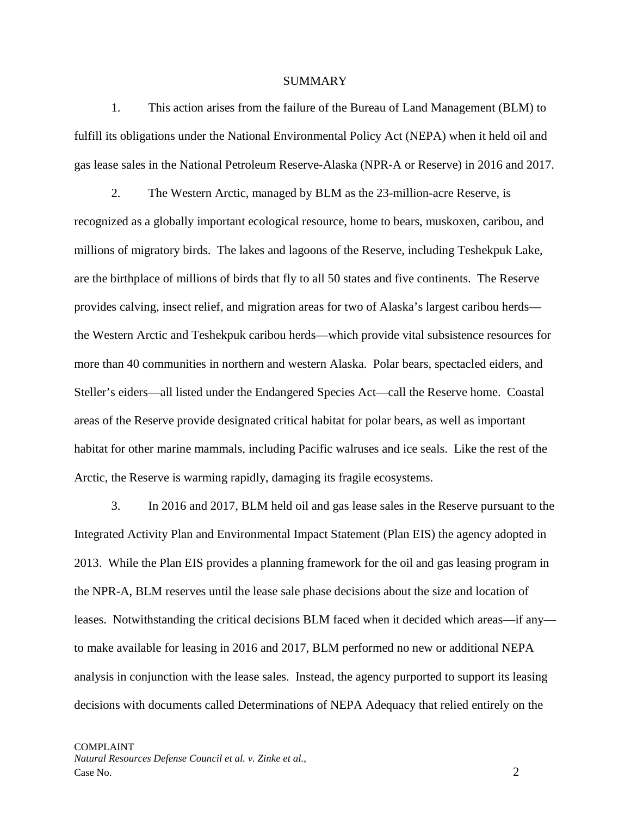### SUMMARY

1. This action arises from the failure of the Bureau of Land Management (BLM) to fulfill its obligations under the National Environmental Policy Act (NEPA) when it held oil and gas lease sales in the National Petroleum Reserve-Alaska (NPR-A or Reserve) in 2016 and 2017.

2. The Western Arctic, managed by BLM as the 23-million-acre Reserve, is recognized as a globally important ecological resource, home to bears, muskoxen, caribou, and millions of migratory birds. The lakes and lagoons of the Reserve, including Teshekpuk Lake, are the birthplace of millions of birds that fly to all 50 states and five continents. The Reserve provides calving, insect relief, and migration areas for two of Alaska's largest caribou herds the Western Arctic and Teshekpuk caribou herds—which provide vital subsistence resources for more than 40 communities in northern and western Alaska. Polar bears, spectacled eiders, and Steller's eiders—all listed under the Endangered Species Act—call the Reserve home. Coastal areas of the Reserve provide designated critical habitat for polar bears, as well as important habitat for other marine mammals, including Pacific walruses and ice seals. Like the rest of the Arctic, the Reserve is warming rapidly, damaging its fragile ecosystems.

3. In 2016 and 2017, BLM held oil and gas lease sales in the Reserve pursuant to the Integrated Activity Plan and Environmental Impact Statement (Plan EIS) the agency adopted in 2013. While the Plan EIS provides a planning framework for the oil and gas leasing program in the NPR-A, BLM reserves until the lease sale phase decisions about the size and location of leases. Notwithstanding the critical decisions BLM faced when it decided which areas—if any to make available for leasing in 2016 and 2017, BLM performed no new or additional NEPA analysis in conjunction with the lease sales. Instead, the agency purported to support its leasing decisions with documents called Determinations of NEPA Adequacy that relied entirely on the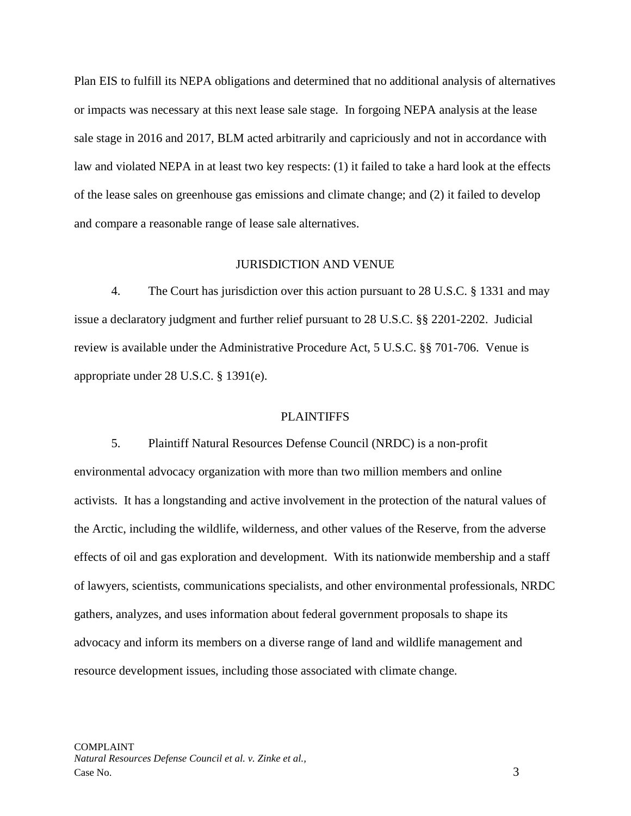Plan EIS to fulfill its NEPA obligations and determined that no additional analysis of alternatives or impacts was necessary at this next lease sale stage. In forgoing NEPA analysis at the lease sale stage in 2016 and 2017, BLM acted arbitrarily and capriciously and not in accordance with law and violated NEPA in at least two key respects: (1) it failed to take a hard look at the effects of the lease sales on greenhouse gas emissions and climate change; and (2) it failed to develop and compare a reasonable range of lease sale alternatives.

#### JURISDICTION AND VENUE

4. The Court has jurisdiction over this action pursuant to 28 U.S.C. § 1331 and may issue a declaratory judgment and further relief pursuant to 28 U.S.C. §§ 2201-2202. Judicial review is available under the Administrative Procedure Act, 5 U.S.C. §§ 701-706. Venue is appropriate under 28 U.S.C. § 1391(e).

#### PLAINTIFFS

5. Plaintiff Natural Resources Defense Council (NRDC) is a non-profit environmental advocacy organization with more than two million members and online activists. It has a longstanding and active involvement in the protection of the natural values of the Arctic, including the wildlife, wilderness, and other values of the Reserve, from the adverse effects of oil and gas exploration and development. With its nationwide membership and a staff of lawyers, scientists, communications specialists, and other environmental professionals, NRDC gathers, analyzes, and uses information about federal government proposals to shape its advocacy and inform its members on a diverse range of land and wildlife management and resource development issues, including those associated with climate change.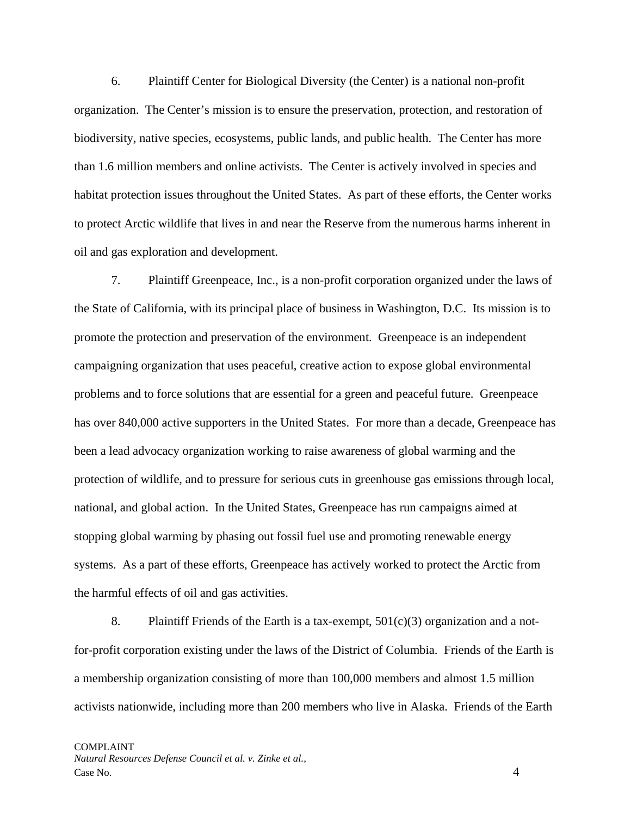6. Plaintiff Center for Biological Diversity (the Center) is a national non-profit organization. The Center's mission is to ensure the preservation, protection, and restoration of biodiversity, native species, ecosystems, public lands, and public health. The Center has more than 1.6 million members and online activists. The Center is actively involved in species and habitat protection issues throughout the United States. As part of these efforts, the Center works to protect Arctic wildlife that lives in and near the Reserve from the numerous harms inherent in oil and gas exploration and development.

7. Plaintiff Greenpeace, Inc., is a non-profit corporation organized under the laws of the State of California, with its principal place of business in Washington, D.C. Its mission is to promote the protection and preservation of the environment. Greenpeace is an independent campaigning organization that uses peaceful, creative action to expose global environmental problems and to force solutions that are essential for a green and peaceful future. Greenpeace has over 840,000 active supporters in the United States. For more than a decade, Greenpeace has been a lead advocacy organization working to raise awareness of global warming and the protection of wildlife, and to pressure for serious cuts in greenhouse gas emissions through local, national, and global action. In the United States, Greenpeace has run campaigns aimed at stopping global warming by phasing out fossil fuel use and promoting renewable energy systems. As a part of these efforts, Greenpeace has actively worked to protect the Arctic from the harmful effects of oil and gas activities.

8. Plaintiff Friends of the Earth is a tax-exempt, 501(c)(3) organization and a notfor-profit corporation existing under the laws of the District of Columbia. Friends of the Earth is a membership organization consisting of more than 100,000 members and almost 1.5 million activists nationwide, including more than 200 members who live in Alaska. Friends of the Earth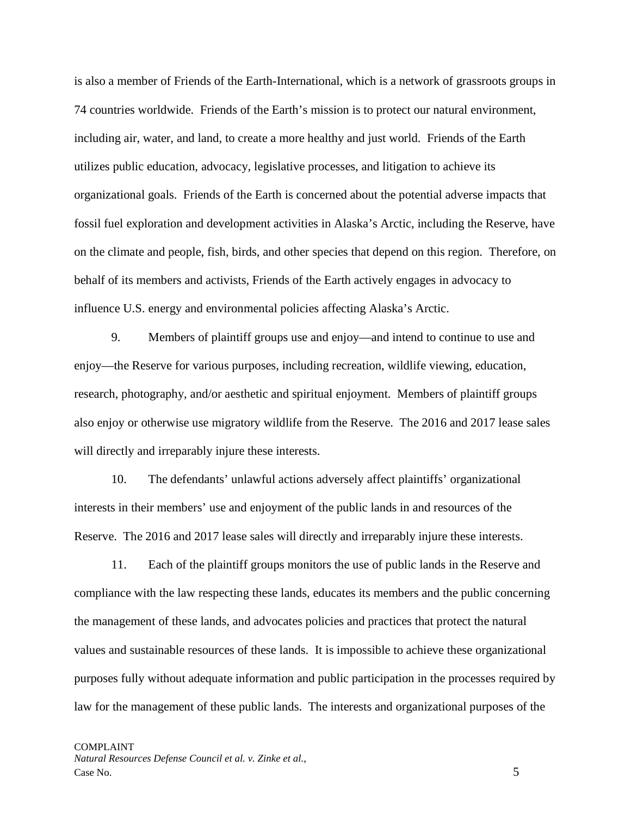is also a member of Friends of the Earth-International, which is a network of grassroots groups in 74 countries worldwide. Friends of the Earth's mission is to protect our natural environment, including air, water, and land, to create a more healthy and just world. Friends of the Earth utilizes public education, advocacy, legislative processes, and litigation to achieve its organizational goals. Friends of the Earth is concerned about the potential adverse impacts that fossil fuel exploration and development activities in Alaska's Arctic, including the Reserve, have on the climate and people, fish, birds, and other species that depend on this region. Therefore, on behalf of its members and activists, Friends of the Earth actively engages in advocacy to influence U.S. energy and environmental policies affecting Alaska's Arctic.

9. Members of plaintiff groups use and enjoy—and intend to continue to use and enjoy—the Reserve for various purposes, including recreation, wildlife viewing, education, research, photography, and/or aesthetic and spiritual enjoyment. Members of plaintiff groups also enjoy or otherwise use migratory wildlife from the Reserve. The 2016 and 2017 lease sales will directly and irreparably injure these interests.

10. The defendants' unlawful actions adversely affect plaintiffs' organizational interests in their members' use and enjoyment of the public lands in and resources of the Reserve. The 2016 and 2017 lease sales will directly and irreparably injure these interests.

11. Each of the plaintiff groups monitors the use of public lands in the Reserve and compliance with the law respecting these lands, educates its members and the public concerning the management of these lands, and advocates policies and practices that protect the natural values and sustainable resources of these lands. It is impossible to achieve these organizational purposes fully without adequate information and public participation in the processes required by law for the management of these public lands. The interests and organizational purposes of the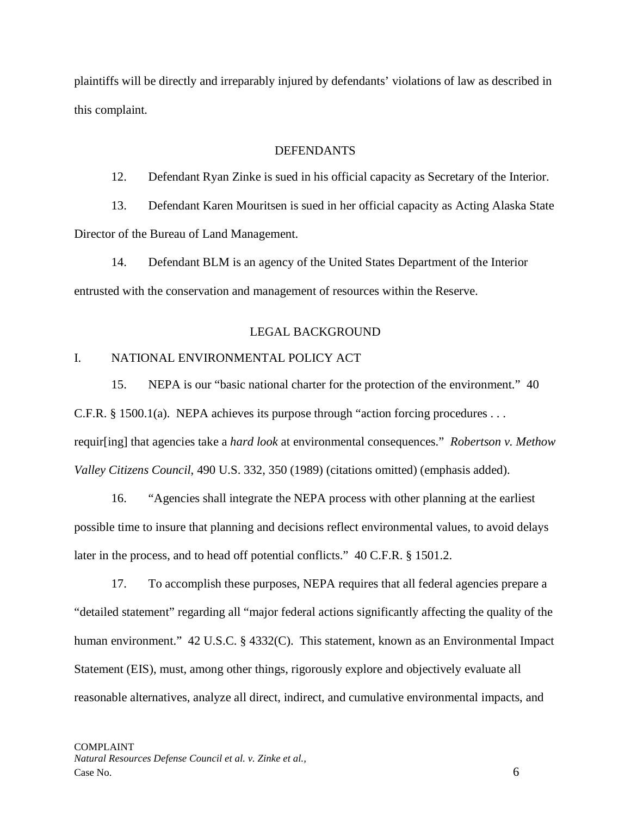plaintiffs will be directly and irreparably injured by defendants' violations of law as described in this complaint.

### DEFENDANTS

12. Defendant Ryan Zinke is sued in his official capacity as Secretary of the Interior.

13. Defendant Karen Mouritsen is sued in her official capacity as Acting Alaska State Director of the Bureau of Land Management.

14. Defendant BLM is an agency of the United States Department of the Interior entrusted with the conservation and management of resources within the Reserve.

# LEGAL BACKGROUND

# I. NATIONAL ENVIRONMENTAL POLICY ACT

15. NEPA is our "basic national charter for the protection of the environment." 40 C.F.R. § 1500.1(a). NEPA achieves its purpose through "action forcing procedures . . . requir[ing] that agencies take a *hard look* at environmental consequences." *Robertson v. Methow Valley Citizens Council*, 490 U.S. 332, 350 (1989) (citations omitted) (emphasis added).

16. "Agencies shall integrate the NEPA process with other planning at the earliest possible time to insure that planning and decisions reflect environmental values, to avoid delays later in the process, and to head off potential conflicts." 40 C.F.R. § 1501.2.

17. To accomplish these purposes, NEPA requires that all federal agencies prepare a "detailed statement" regarding all "major federal actions significantly affecting the quality of the human environment." 42 U.S.C. § 4332(C). This statement, known as an Environmental Impact Statement (EIS), must, among other things, rigorously explore and objectively evaluate all reasonable alternatives, analyze all direct, indirect, and cumulative environmental impacts, and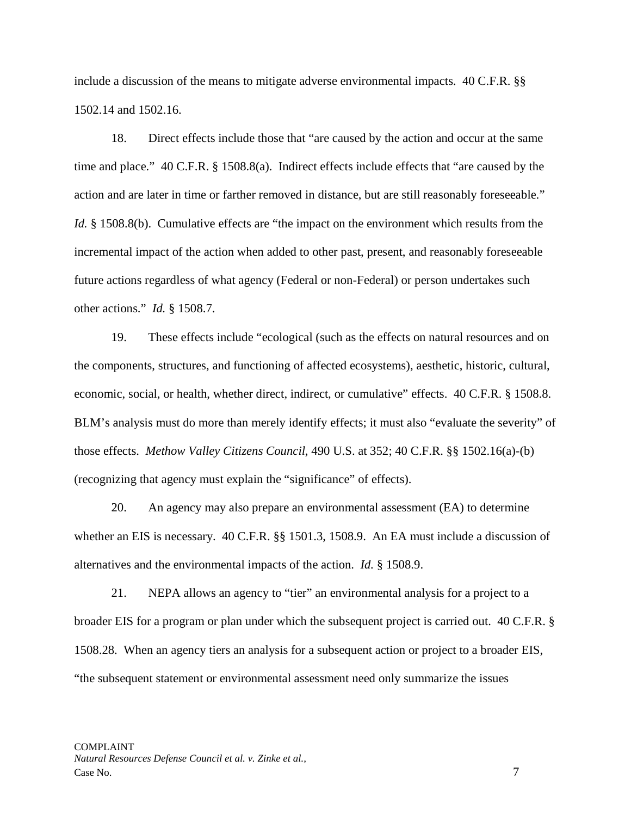include a discussion of the means to mitigate adverse environmental impacts. 40 C.F.R. §§ 1502.14 and 1502.16.

18. Direct effects include those that "are caused by the action and occur at the same time and place." 40 C.F.R. § 1508.8(a). Indirect effects include effects that "are caused by the action and are later in time or farther removed in distance, but are still reasonably foreseeable." *Id.* § 1508.8(b). Cumulative effects are "the impact on the environment which results from the incremental impact of the action when added to other past, present, and reasonably foreseeable future actions regardless of what agency (Federal or non-Federal) or person undertakes such other actions." *Id.* § 1508.7.

19. These effects include "ecological (such as the effects on natural resources and on the components, structures, and functioning of affected ecosystems), aesthetic, historic, cultural, economic, social, or health, whether direct, indirect, or cumulative" effects. 40 C.F.R. § 1508.8. BLM's analysis must do more than merely identify effects; it must also "evaluate the severity" of those effects. *Methow Valley Citizens Council*, 490 U.S. at 352; 40 C.F.R. §§ 1502.16(a)-(b) (recognizing that agency must explain the "significance" of effects).

20. An agency may also prepare an environmental assessment (EA) to determine whether an EIS is necessary. 40 C.F.R. §§ 1501.3, 1508.9. An EA must include a discussion of alternatives and the environmental impacts of the action. *Id.* § 1508.9.

21. NEPA allows an agency to "tier" an environmental analysis for a project to a broader EIS for a program or plan under which the subsequent project is carried out. 40 C.F.R. § 1508.28. When an agency tiers an analysis for a subsequent action or project to a broader EIS, "the subsequent statement or environmental assessment need only summarize the issues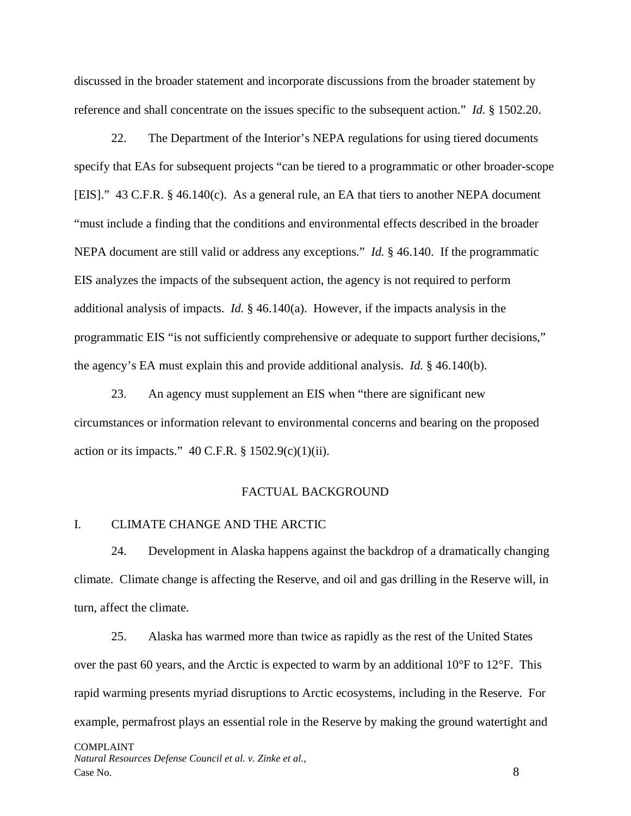discussed in the broader statement and incorporate discussions from the broader statement by reference and shall concentrate on the issues specific to the subsequent action." *Id.* § 1502.20.

22. The Department of the Interior's NEPA regulations for using tiered documents specify that EAs for subsequent projects "can be tiered to a programmatic or other broader-scope [EIS]." 43 C.F.R. § 46.140(c). As a general rule, an EA that tiers to another NEPA document "must include a finding that the conditions and environmental effects described in the broader NEPA document are still valid or address any exceptions." *Id.* § 46.140. If the programmatic EIS analyzes the impacts of the subsequent action, the agency is not required to perform additional analysis of impacts. *Id.* § 46.140(a). However, if the impacts analysis in the programmatic EIS "is not sufficiently comprehensive or adequate to support further decisions," the agency's EA must explain this and provide additional analysis. *Id.* § 46.140(b).

23. An agency must supplement an EIS when "there are significant new circumstances or information relevant to environmental concerns and bearing on the proposed action or its impacts."  $40$  C.F.R. § 1502.9(c)(1)(ii).

#### FACTUAL BACKGROUND

## I. CLIMATE CHANGE AND THE ARCTIC

24. Development in Alaska happens against the backdrop of a dramatically changing climate. Climate change is affecting the Reserve, and oil and gas drilling in the Reserve will, in turn, affect the climate.

25. Alaska has warmed more than twice as rapidly as the rest of the United States over the past 60 years, and the Arctic is expected to warm by an additional  $10^{\circ}$ F to  $12^{\circ}$ F. This rapid warming presents myriad disruptions to Arctic ecosystems, including in the Reserve. For example, permafrost plays an essential role in the Reserve by making the ground watertight and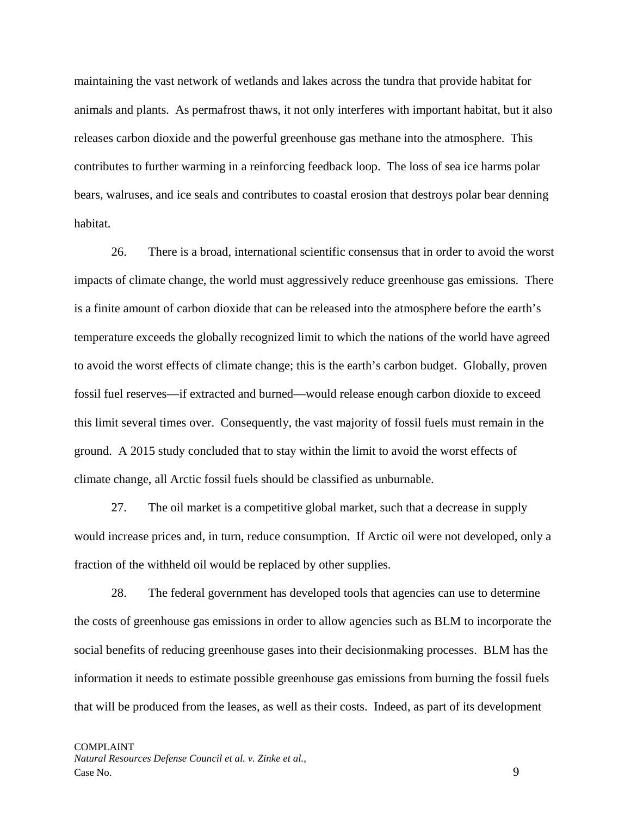maintaining the vast network of wetlands and lakes across the tundra that provide habitat for animals and plants. As permafrost thaws, it not only interferes with important habitat, but it also releases carbon dioxide and the powerful greenhouse gas methane into the atmosphere. This contributes to further warming in a reinforcing feedback loop. The loss of sea ice harms polar bears, walruses, and ice seals and contributes to coastal erosion that destroys polar bear denning habitat.

26. There is a broad, international scientific consensus that in order to avoid the worst impacts of climate change, the world must aggressively reduce greenhouse gas emissions. There is a finite amount of carbon dioxide that can be released into the atmosphere before the earth's temperature exceeds the globally recognized limit to which the nations of the world have agreed to avoid the worst effects of climate change; this is the earth's carbon budget. Globally, proven fossil fuel reserves—if extracted and burned—would release enough carbon dioxide to exceed this limit several times over. Consequently, the vast majority of fossil fuels must remain in the ground. A 2015 study concluded that to stay within the limit to avoid the worst effects of climate change, all Arctic fossil fuels should be classified as unburnable.

27. The oil market is a competitive global market, such that a decrease in supply would increase prices and, in turn, reduce consumption. If Arctic oil were not developed, only a fraction of the withheld oil would be replaced by other supplies.

28. The federal government has developed tools that agencies can use to determine the costs of greenhouse gas emissions in order to allow agencies such as BLM to incorporate the social benefits of reducing greenhouse gases into their decisionmaking processes. BLM has the information it needs to estimate possible greenhouse gas emissions from burning the fossil fuels that will be produced from the leases, as well as their costs. Indeed, as part of its development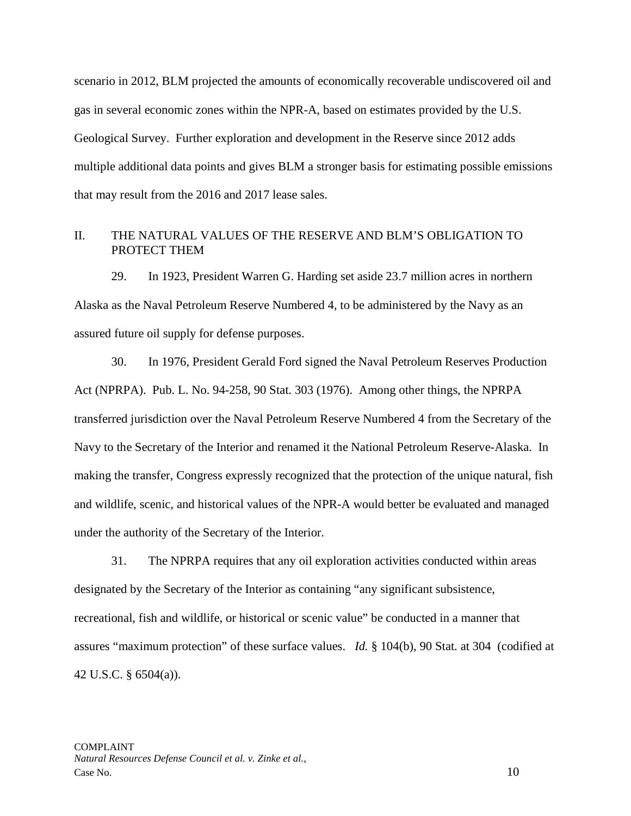scenario in 2012, BLM projected the amounts of economically recoverable undiscovered oil and gas in several economic zones within the NPR-A, based on estimates provided by the U.S. Geological Survey. Further exploration and development in the Reserve since 2012 adds multiple additional data points and gives BLM a stronger basis for estimating possible emissions that may result from the 2016 and 2017 lease sales.

### II. THE NATURAL VALUES OF THE RESERVE AND BLM'S OBLIGATION TO PROTECT THEM

29. In 1923, President Warren G. Harding set aside 23.7 million acres in northern Alaska as the Naval Petroleum Reserve Numbered 4, to be administered by the Navy as an assured future oil supply for defense purposes.

30. In 1976, President Gerald Ford signed the Naval Petroleum Reserves Production Act (NPRPA). Pub. L. No. 94-258, 90 Stat. 303 (1976). Among other things, the NPRPA transferred jurisdiction over the Naval Petroleum Reserve Numbered 4 from the Secretary of the Navy to the Secretary of the Interior and renamed it the National Petroleum Reserve-Alaska. In making the transfer, Congress expressly recognized that the protection of the unique natural, fish and wildlife, scenic, and historical values of the NPR-A would better be evaluated and managed under the authority of the Secretary of the Interior.

31. The NPRPA requires that any oil exploration activities conducted within areas designated by the Secretary of the Interior as containing "any significant subsistence, recreational, fish and wildlife, or historical or scenic value" be conducted in a manner that assures "maximum protection" of these surface values. *Id.* § 104(b), 90 Stat. at 304 (codified at 42 U.S.C. § 6504(a)).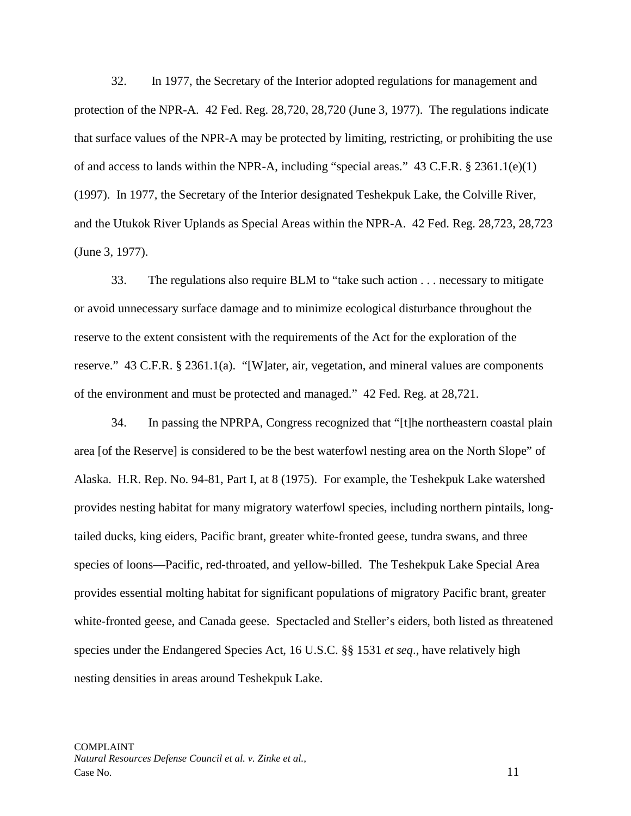32. In 1977, the Secretary of the Interior adopted regulations for management and protection of the NPR-A. 42 Fed. Reg. 28,720, 28,720 (June 3, 1977). The regulations indicate that surface values of the NPR-A may be protected by limiting, restricting, or prohibiting the use of and access to lands within the NPR-A, including "special areas."  $43 \text{ C.F.R.}$  §  $2361.1(e)(1)$ (1997). In 1977, the Secretary of the Interior designated Teshekpuk Lake, the Colville River, and the Utukok River Uplands as Special Areas within the NPR-A. 42 Fed. Reg. 28,723, 28,723 (June 3, 1977).

33. The regulations also require BLM to "take such action . . . necessary to mitigate or avoid unnecessary surface damage and to minimize ecological disturbance throughout the reserve to the extent consistent with the requirements of the Act for the exploration of the reserve." 43 C.F.R. § 2361.1(a). "[W]ater, air, vegetation, and mineral values are components of the environment and must be protected and managed." 42 Fed. Reg. at 28,721.

34. In passing the NPRPA, Congress recognized that "[t]he northeastern coastal plain area [of the Reserve] is considered to be the best waterfowl nesting area on the North Slope" of Alaska. H.R. Rep. No. 94-81, Part I, at 8 (1975). For example, the Teshekpuk Lake watershed provides nesting habitat for many migratory waterfowl species, including northern pintails, longtailed ducks, king eiders, Pacific brant, greater white-fronted geese, tundra swans, and three species of loons—Pacific, red-throated, and yellow-billed. The Teshekpuk Lake Special Area provides essential molting habitat for significant populations of migratory Pacific brant, greater white-fronted geese, and Canada geese. Spectacled and Steller's eiders, both listed as threatened species under the Endangered Species Act, 16 U.S.C. §§ 1531 *et seq*., have relatively high nesting densities in areas around Teshekpuk Lake.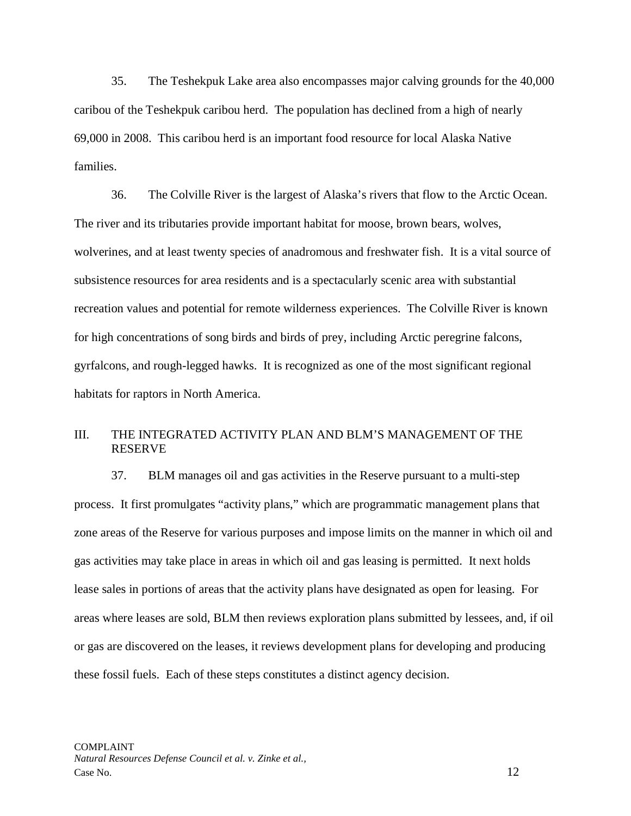35. The Teshekpuk Lake area also encompasses major calving grounds for the 40,000 caribou of the Teshekpuk caribou herd. The population has declined from a high of nearly 69,000 in 2008. This caribou herd is an important food resource for local Alaska Native families.

36. The Colville River is the largest of Alaska's rivers that flow to the Arctic Ocean. The river and its tributaries provide important habitat for moose, brown bears, wolves, wolverines, and at least twenty species of anadromous and freshwater fish. It is a vital source of subsistence resources for area residents and is a spectacularly scenic area with substantial recreation values and potential for remote wilderness experiences. The Colville River is known for high concentrations of song birds and birds of prey, including Arctic peregrine falcons, gyrfalcons, and rough-legged hawks. It is recognized as one of the most significant regional habitats for raptors in North America.

### III. THE INTEGRATED ACTIVITY PLAN AND BLM'S MANAGEMENT OF THE RESERVE

37. BLM manages oil and gas activities in the Reserve pursuant to a multi-step process. It first promulgates "activity plans," which are programmatic management plans that zone areas of the Reserve for various purposes and impose limits on the manner in which oil and gas activities may take place in areas in which oil and gas leasing is permitted. It next holds lease sales in portions of areas that the activity plans have designated as open for leasing. For areas where leases are sold, BLM then reviews exploration plans submitted by lessees, and, if oil or gas are discovered on the leases, it reviews development plans for developing and producing these fossil fuels. Each of these steps constitutes a distinct agency decision.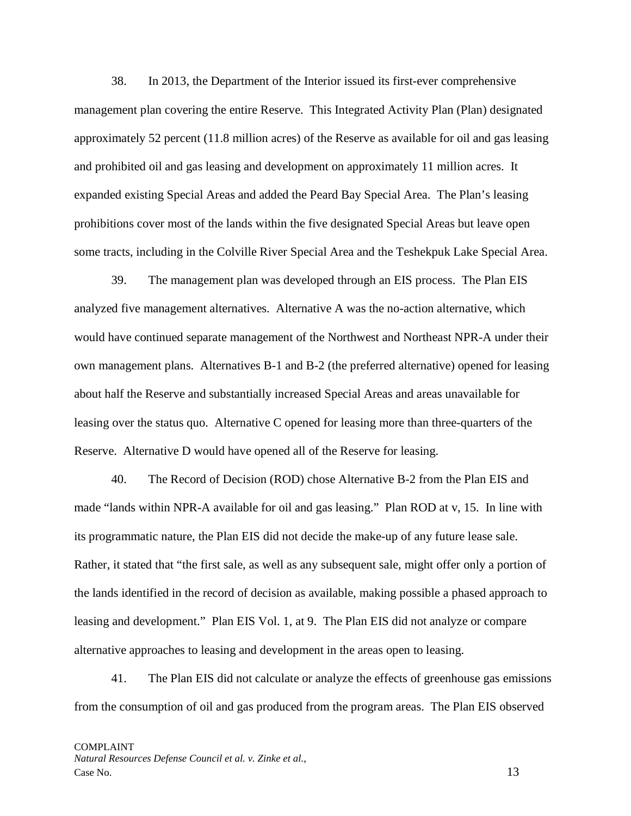38. In 2013, the Department of the Interior issued its first-ever comprehensive management plan covering the entire Reserve. This Integrated Activity Plan (Plan) designated approximately 52 percent (11.8 million acres) of the Reserve as available for oil and gas leasing and prohibited oil and gas leasing and development on approximately 11 million acres. It expanded existing Special Areas and added the Peard Bay Special Area. The Plan's leasing prohibitions cover most of the lands within the five designated Special Areas but leave open some tracts, including in the Colville River Special Area and the Teshekpuk Lake Special Area.

39. The management plan was developed through an EIS process. The Plan EIS analyzed five management alternatives. Alternative A was the no-action alternative, which would have continued separate management of the Northwest and Northeast NPR-A under their own management plans. Alternatives B-1 and B-2 (the preferred alternative) opened for leasing about half the Reserve and substantially increased Special Areas and areas unavailable for leasing over the status quo. Alternative C opened for leasing more than three-quarters of the Reserve. Alternative D would have opened all of the Reserve for leasing.

40. The Record of Decision (ROD) chose Alternative B-2 from the Plan EIS and made "lands within NPR-A available for oil and gas leasing." Plan ROD at v, 15. In line with its programmatic nature, the Plan EIS did not decide the make-up of any future lease sale. Rather, it stated that "the first sale, as well as any subsequent sale, might offer only a portion of the lands identified in the record of decision as available, making possible a phased approach to leasing and development." Plan EIS Vol. 1, at 9. The Plan EIS did not analyze or compare alternative approaches to leasing and development in the areas open to leasing.

41. The Plan EIS did not calculate or analyze the effects of greenhouse gas emissions from the consumption of oil and gas produced from the program areas. The Plan EIS observed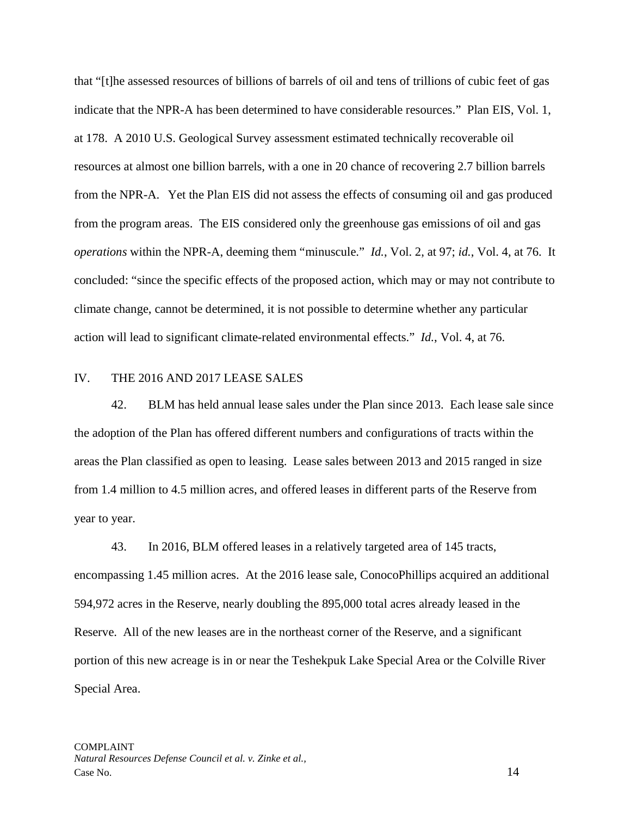that "[t]he assessed resources of billions of barrels of oil and tens of trillions of cubic feet of gas indicate that the NPR-A has been determined to have considerable resources." Plan EIS, Vol. 1, at 178. A 2010 U.S. Geological Survey assessment estimated technically recoverable oil resources at almost one billion barrels, with a one in 20 chance of recovering 2.7 billion barrels from the NPR-A. Yet the Plan EIS did not assess the effects of consuming oil and gas produced from the program areas. The EIS considered only the greenhouse gas emissions of oil and gas *operations* within the NPR-A, deeming them "minuscule." *Id.*, Vol. 2, at 97; *id.*, Vol. 4, at 76. It concluded: "since the specific effects of the proposed action, which may or may not contribute to climate change, cannot be determined, it is not possible to determine whether any particular action will lead to significant climate-related environmental effects." *Id.*, Vol. 4, at 76.

## IV. THE 2016 AND 2017 LEASE SALES

42. BLM has held annual lease sales under the Plan since 2013. Each lease sale since the adoption of the Plan has offered different numbers and configurations of tracts within the areas the Plan classified as open to leasing. Lease sales between 2013 and 2015 ranged in size from 1.4 million to 4.5 million acres, and offered leases in different parts of the Reserve from year to year.

43. In 2016, BLM offered leases in a relatively targeted area of 145 tracts, encompassing 1.45 million acres. At the 2016 lease sale, ConocoPhillips acquired an additional 594,972 acres in the Reserve, nearly doubling the 895,000 total acres already leased in the Reserve. All of the new leases are in the northeast corner of the Reserve, and a significant portion of this new acreage is in or near the Teshekpuk Lake Special Area or the Colville River Special Area.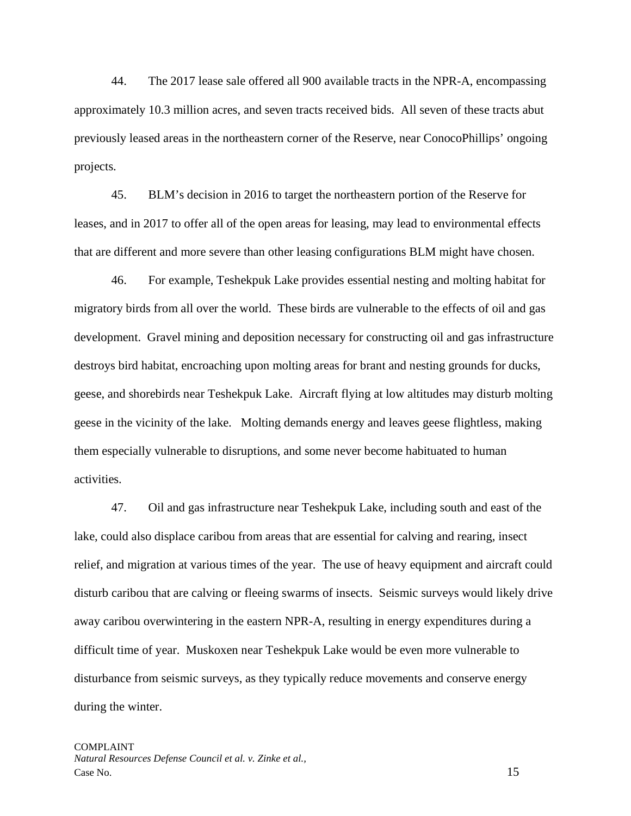44. The 2017 lease sale offered all 900 available tracts in the NPR-A, encompassing approximately 10.3 million acres, and seven tracts received bids. All seven of these tracts abut previously leased areas in the northeastern corner of the Reserve, near ConocoPhillips' ongoing projects.

45. BLM's decision in 2016 to target the northeastern portion of the Reserve for leases, and in 2017 to offer all of the open areas for leasing, may lead to environmental effects that are different and more severe than other leasing configurations BLM might have chosen.

46. For example, Teshekpuk Lake provides essential nesting and molting habitat for migratory birds from all over the world. These birds are vulnerable to the effects of oil and gas development. Gravel mining and deposition necessary for constructing oil and gas infrastructure destroys bird habitat, encroaching upon molting areas for brant and nesting grounds for ducks, geese, and shorebirds near Teshekpuk Lake. Aircraft flying at low altitudes may disturb molting geese in the vicinity of the lake. Molting demands energy and leaves geese flightless, making them especially vulnerable to disruptions, and some never become habituated to human activities.

47. Oil and gas infrastructure near Teshekpuk Lake, including south and east of the lake, could also displace caribou from areas that are essential for calving and rearing, insect relief, and migration at various times of the year. The use of heavy equipment and aircraft could disturb caribou that are calving or fleeing swarms of insects. Seismic surveys would likely drive away caribou overwintering in the eastern NPR-A, resulting in energy expenditures during a difficult time of year. Muskoxen near Teshekpuk Lake would be even more vulnerable to disturbance from seismic surveys, as they typically reduce movements and conserve energy during the winter.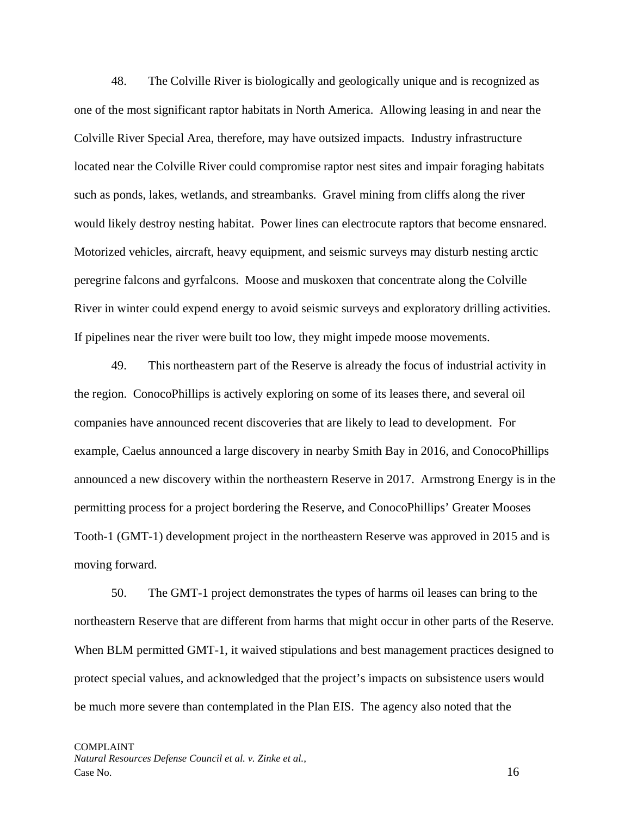48. The Colville River is biologically and geologically unique and is recognized as one of the most significant raptor habitats in North America. Allowing leasing in and near the Colville River Special Area, therefore, may have outsized impacts. Industry infrastructure located near the Colville River could compromise raptor nest sites and impair foraging habitats such as ponds, lakes, wetlands, and streambanks. Gravel mining from cliffs along the river would likely destroy nesting habitat. Power lines can electrocute raptors that become ensnared. Motorized vehicles, aircraft, heavy equipment, and seismic surveys may disturb nesting arctic peregrine falcons and gyrfalcons. Moose and muskoxen that concentrate along the Colville River in winter could expend energy to avoid seismic surveys and exploratory drilling activities. If pipelines near the river were built too low, they might impede moose movements.

49. This northeastern part of the Reserve is already the focus of industrial activity in the region. ConocoPhillips is actively exploring on some of its leases there, and several oil companies have announced recent discoveries that are likely to lead to development. For example, Caelus announced a large discovery in nearby Smith Bay in 2016, and ConocoPhillips announced a new discovery within the northeastern Reserve in 2017. Armstrong Energy is in the permitting process for a project bordering the Reserve, and ConocoPhillips' Greater Mooses Tooth-1 (GMT-1) development project in the northeastern Reserve was approved in 2015 and is moving forward.

50. The GMT-1 project demonstrates the types of harms oil leases can bring to the northeastern Reserve that are different from harms that might occur in other parts of the Reserve. When BLM permitted GMT-1, it waived stipulations and best management practices designed to protect special values, and acknowledged that the project's impacts on subsistence users would be much more severe than contemplated in the Plan EIS. The agency also noted that the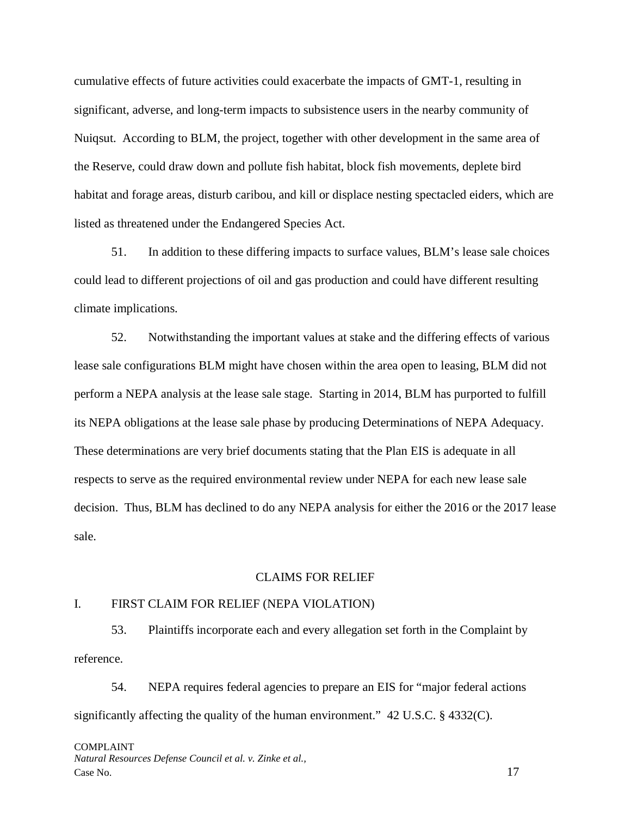cumulative effects of future activities could exacerbate the impacts of GMT-1, resulting in significant, adverse, and long-term impacts to subsistence users in the nearby community of Nuiqsut. According to BLM, the project, together with other development in the same area of the Reserve, could draw down and pollute fish habitat, block fish movements, deplete bird habitat and forage areas, disturb caribou, and kill or displace nesting spectacled eiders, which are listed as threatened under the Endangered Species Act.

51. In addition to these differing impacts to surface values, BLM's lease sale choices could lead to different projections of oil and gas production and could have different resulting climate implications.

52. Notwithstanding the important values at stake and the differing effects of various lease sale configurations BLM might have chosen within the area open to leasing, BLM did not perform a NEPA analysis at the lease sale stage. Starting in 2014, BLM has purported to fulfill its NEPA obligations at the lease sale phase by producing Determinations of NEPA Adequacy. These determinations are very brief documents stating that the Plan EIS is adequate in all respects to serve as the required environmental review under NEPA for each new lease sale decision. Thus, BLM has declined to do any NEPA analysis for either the 2016 or the 2017 lease sale.

#### CLAIMS FOR RELIEF

## I. FIRST CLAIM FOR RELIEF (NEPA VIOLATION)

53. Plaintiffs incorporate each and every allegation set forth in the Complaint by reference.

54. NEPA requires federal agencies to prepare an EIS for "major federal actions significantly affecting the quality of the human environment."  $42 \text{ U.S.C.}$  § 4332(C).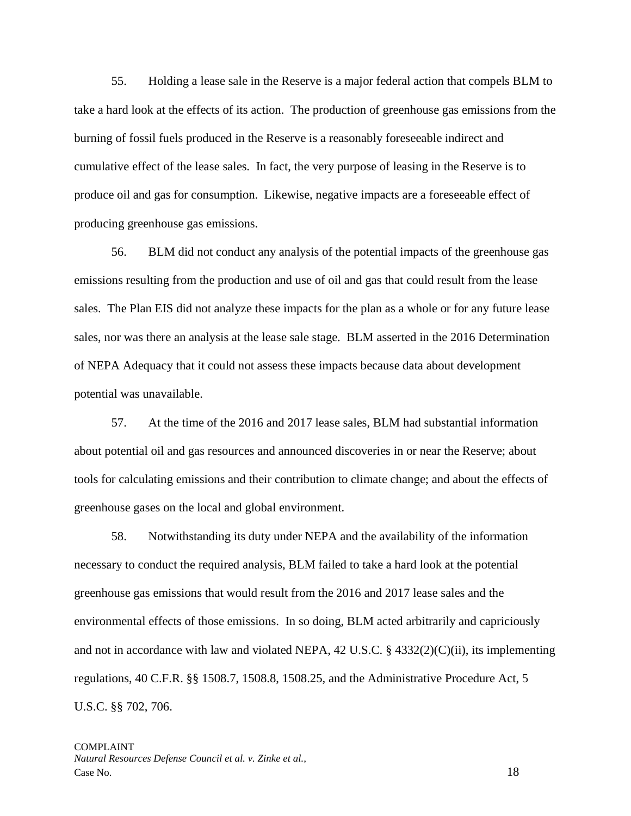55. Holding a lease sale in the Reserve is a major federal action that compels BLM to take a hard look at the effects of its action. The production of greenhouse gas emissions from the burning of fossil fuels produced in the Reserve is a reasonably foreseeable indirect and cumulative effect of the lease sales. In fact, the very purpose of leasing in the Reserve is to produce oil and gas for consumption. Likewise, negative impacts are a foreseeable effect of producing greenhouse gas emissions.

56. BLM did not conduct any analysis of the potential impacts of the greenhouse gas emissions resulting from the production and use of oil and gas that could result from the lease sales. The Plan EIS did not analyze these impacts for the plan as a whole or for any future lease sales, nor was there an analysis at the lease sale stage. BLM asserted in the 2016 Determination of NEPA Adequacy that it could not assess these impacts because data about development potential was unavailable.

57. At the time of the 2016 and 2017 lease sales, BLM had substantial information about potential oil and gas resources and announced discoveries in or near the Reserve; about tools for calculating emissions and their contribution to climate change; and about the effects of greenhouse gases on the local and global environment.

58. Notwithstanding its duty under NEPA and the availability of the information necessary to conduct the required analysis, BLM failed to take a hard look at the potential greenhouse gas emissions that would result from the 2016 and 2017 lease sales and the environmental effects of those emissions. In so doing, BLM acted arbitrarily and capriciously and not in accordance with law and violated NEPA,  $42 \text{ U.S.C.}$  §  $4332(2)(\text{C})(\text{ii})$ , its implementing regulations, 40 C.F.R. §§ 1508.7, 1508.8, 1508.25, and the Administrative Procedure Act, 5 U.S.C. §§ 702, 706.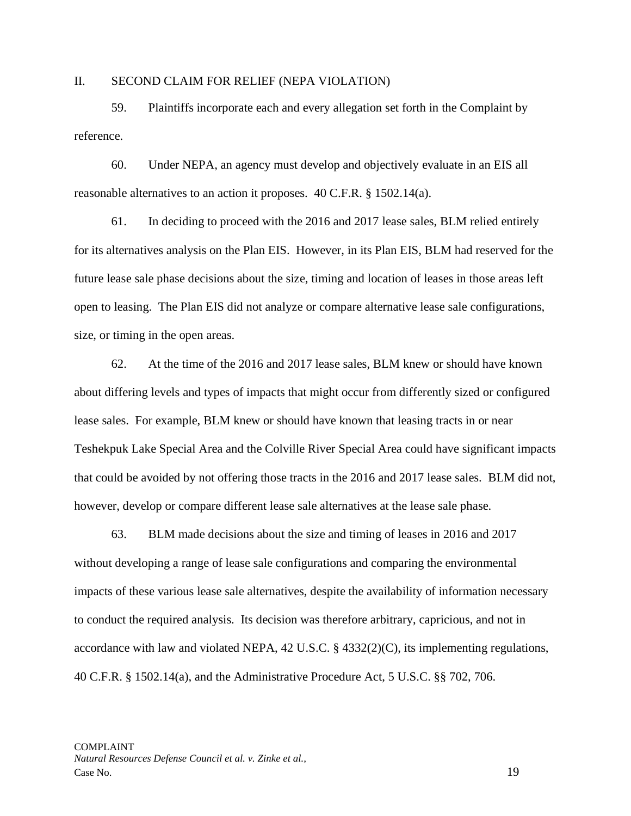#### II. SECOND CLAIM FOR RELIEF (NEPA VIOLATION)

59. Plaintiffs incorporate each and every allegation set forth in the Complaint by reference.

60. Under NEPA, an agency must develop and objectively evaluate in an EIS all reasonable alternatives to an action it proposes. 40 C.F.R. § 1502.14(a).

61. In deciding to proceed with the 2016 and 2017 lease sales, BLM relied entirely for its alternatives analysis on the Plan EIS. However, in its Plan EIS, BLM had reserved for the future lease sale phase decisions about the size, timing and location of leases in those areas left open to leasing. The Plan EIS did not analyze or compare alternative lease sale configurations, size, or timing in the open areas.

62. At the time of the 2016 and 2017 lease sales, BLM knew or should have known about differing levels and types of impacts that might occur from differently sized or configured lease sales. For example, BLM knew or should have known that leasing tracts in or near Teshekpuk Lake Special Area and the Colville River Special Area could have significant impacts that could be avoided by not offering those tracts in the 2016 and 2017 lease sales. BLM did not, however, develop or compare different lease sale alternatives at the lease sale phase.

63. BLM made decisions about the size and timing of leases in 2016 and 2017 without developing a range of lease sale configurations and comparing the environmental impacts of these various lease sale alternatives, despite the availability of information necessary to conduct the required analysis. Its decision was therefore arbitrary, capricious, and not in accordance with law and violated NEPA, 42 U.S.C. § 4332(2)(C), its implementing regulations, 40 C.F.R. § 1502.14(a), and the Administrative Procedure Act, 5 U.S.C. §§ 702, 706.